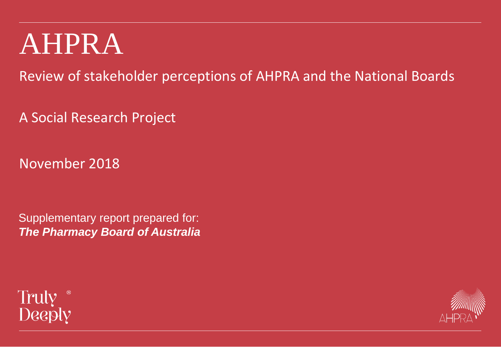# AHPRA

Review of stakeholder perceptions of AHPRA and the National Boards

A Social Research Project

November 2018

Supplementary report prepared for: *The Pharmacy Board of Australia* 



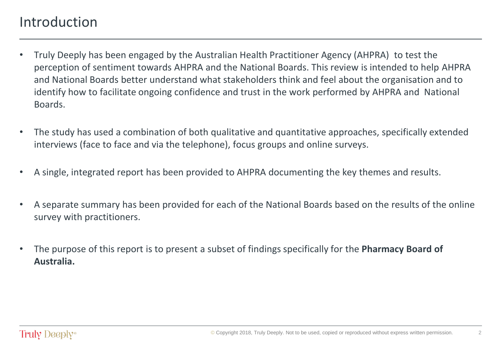### Introduction

- Truly Deeply has been engaged by the Australian Health Practitioner Agency (AHPRA) to test the perception of sentiment towards AHPRA and the National Boards. This review is intended to help AHPRA and National Boards better understand what stakeholders think and feel about the organisation and to identify how to facilitate ongoing confidence and trust in the work performed by AHPRA and National Boards.
- The study has used a combination of both qualitative and quantitative approaches, specifically extended interviews (face to face and via the telephone), focus groups and online surveys.
- A single, integrated report has been provided to AHPRA documenting the key themes and results.
- A separate summary has been provided for each of the National Boards based on the results of the online survey with practitioners.
- The purpose of this report is to present a subset of findings specifically for the **Pharmacy Board of Australia.**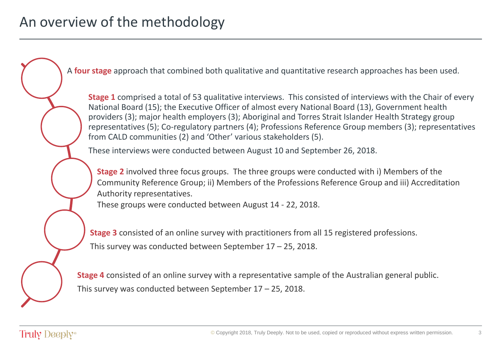A **four stage** approach that combined both qualitative and quantitative research approaches has been used.

**Stage 1** comprised a total of 53 qualitative interviews. This consisted of interviews with the Chair of every National Board (15); the Executive Officer of almost every National Board (13), Government health providers (3); major health employers (3); Aboriginal and Torres Strait Islander Health Strategy group representatives (5); Co-regulatory partners (4); Professions Reference Group members (3); representatives from CALD communities (2) and 'Other' various stakeholders (5).

These interviews were conducted between August 10 and September 26, 2018.

**Stage 2** involved three focus groups. The three groups were conducted with i) Members of the Community Reference Group; ii) Members of the Professions Reference Group and iii) Accreditation Authority representatives.

These groups were conducted between August 14 - 22, 2018.

**Stage 3** consisted of an online survey with practitioners from all 15 registered professions. This survey was conducted between September 17 – 25, 2018.

**Stage 4** consisted of an online survey with a representative sample of the Australian general public. This survey was conducted between September 17 – 25, 2018.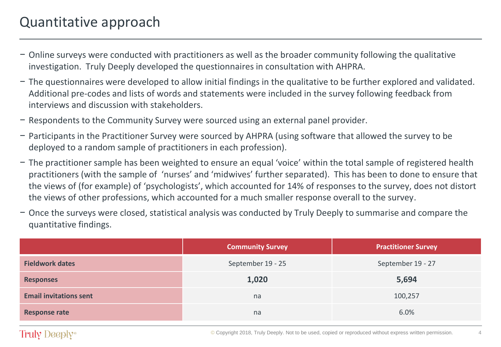- − Online surveys were conducted with practitioners as well as the broader community following the qualitative investigation. Truly Deeply developed the questionnaires in consultation with AHPRA.
- − The questionnaires were developed to allow initial findings in the qualitative to be further explored and validated. Additional pre-codes and lists of words and statements were included in the survey following feedback from interviews and discussion with stakeholders.
- − Respondents to the Community Survey were sourced using an external panel provider.
- − Participants in the Practitioner Survey were sourced by AHPRA (using software that allowed the survey to be deployed to a random sample of practitioners in each profession).
- − The practitioner sample has been weighted to ensure an equal 'voice' within the total sample of registered health practitioners (with the sample of 'nurses' and 'midwives' further separated). This has been to done to ensure that the views of (for example) of 'psychologists', which accounted for 14% of responses to the survey, does not distort the views of other professions, which accounted for a much smaller response overall to the survey.
- − Once the surveys were closed, statistical analysis was conducted by Truly Deeply to summarise and compare the quantitative findings.

|                               | <b>Community Survey</b> | <b>Practitioner Survey</b> |  |
|-------------------------------|-------------------------|----------------------------|--|
| <b>Fieldwork dates</b>        | September 19 - 25       | September 19 - 27          |  |
| <b>Responses</b>              | 1,020                   | 5,694                      |  |
| <b>Email invitations sent</b> | na                      | 100,257                    |  |
| <b>Response rate</b>          | na                      | 6.0%                       |  |

#### Truly Deeply<sup>®</sup>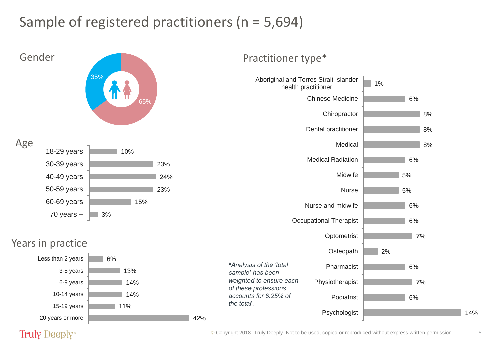### Sample of registered practitioners (n = 5,694)



Truly Deeply<sup>®</sup>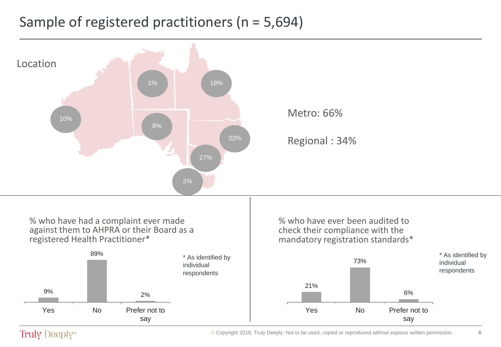### Sample of registered practitioners (n = 5,694)



#### Truly Deeply<sup>®</sup>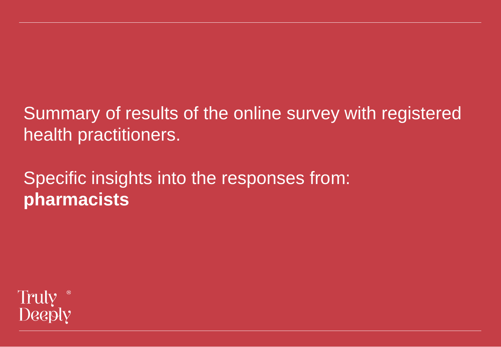## Summary of results of the online survey with registered health practitioners.

## Specific insights into the responses from: **pharmacists**

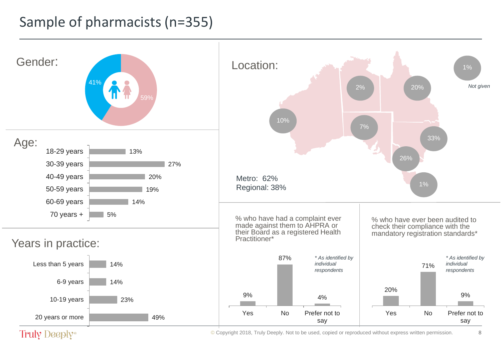### Sample of pharmacists (n=355)



Truly Deeply<sup>®</sup>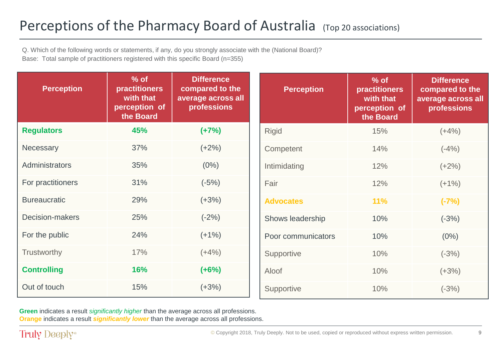### Perceptions of the Pharmacy Board of Australia (Top 20 associations)

Q. Which of the following words or statements, if any, do you strongly associate with the (National Board)? Base: Total sample of practitioners registered with this specific Board (n=355)

| <b>Perception</b>   | $%$ of<br><b>practitioners</b><br>with that<br>perception of<br>the Board | <b>Difference</b><br>compared to the<br>average across all<br>professions | <b>Perception</b>  | $%$ of<br><b>practitioners</b><br>with that<br>perception of<br>the Board | <b>Difference</b><br>compared to the<br>average across all<br>professions |
|---------------------|---------------------------------------------------------------------------|---------------------------------------------------------------------------|--------------------|---------------------------------------------------------------------------|---------------------------------------------------------------------------|
| <b>Regulators</b>   | 45%                                                                       | $(+7%)$                                                                   | Rigid              | 15%                                                                       | $(+4%)$                                                                   |
| Necessary           | 37%                                                                       | $(+2%)$                                                                   | Competent          | 14%                                                                       | $(-4%)$                                                                   |
| Administrators      | 35%                                                                       | $(0\%)$                                                                   | Intimidating       | 12%                                                                       | $(+2%)$                                                                   |
| For practitioners   | 31%                                                                       | $(-5%)$                                                                   | Fair               | 12%                                                                       | $(+1%)$                                                                   |
| <b>Bureaucratic</b> | 29%                                                                       | $(+3%)$                                                                   | <b>Advocates</b>   | 11%                                                                       | $(-7%)$                                                                   |
| Decision-makers     | 25%                                                                       | $(-2%)$                                                                   | Shows leadership   | 10%                                                                       | $(-3%)$                                                                   |
| For the public      | 24%                                                                       | $(+1%)$                                                                   | Poor communicators | 10%                                                                       | $(0\%)$                                                                   |
| Trustworthy         | 17%                                                                       | $(+4%)$                                                                   | Supportive         | 10%                                                                       | $(-3%)$                                                                   |
| <b>Controlling</b>  | 16%                                                                       | $(+6%)$                                                                   | Aloof              | 10%                                                                       | $(+3%)$                                                                   |
| Out of touch        | 15%                                                                       | $(+3%)$                                                                   | Supportive         | 10%                                                                       | $(-3%)$                                                                   |

**Green** indicates a result *significantly higher* than the average across all professions. **Orange** indicates a result *significantly lower* than the average across all professions.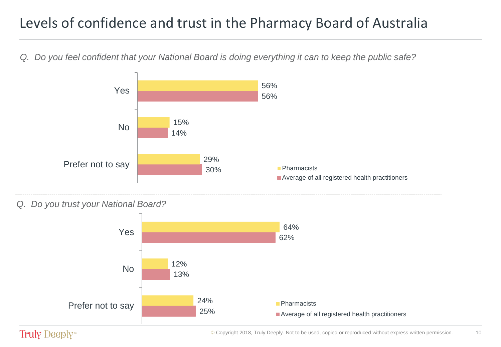### Levels of confidence and trust in the Pharmacy Board of Australia

*Q. Do you feel confident that your National Board is doing everything it can to keep the public safe?*



#### *Q. Do you trust your National Board?*



#### Truly Deeply<sup>®</sup>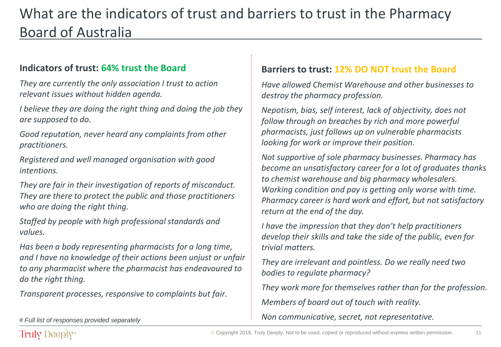### What are the indicators of trust and barriers to trust in the Pharmacy Board of Australia

#### **Indicators of trust: 64% trust the Board**

*They are currently the only association I trust to action relevant issues without hidden agenda.*

*I believe they are doing the right thing and doing the job they are supposed to do.*

*Good reputation, never heard any complaints from other practitioners.*

*Registered and well managed organisation with good intentions.*

*They are fair in their investigation of reports of misconduct. They are there to protect the public and those practitioners who are doing the right thing.*

*Staffed by people with high professional standards and values.*

*Has been a body representing pharmacists for a long time, and I have no knowledge of their actions been unjust or unfair to any pharmacist where the pharmacist has endeavoured to do the right thing.*

*Transparent processes, responsive to complaints but fair.*

#### **Barriers to trust: 12% DO NOT trust the Board**

*Have allowed Chemist Warehouse and other businesses to destroy the pharmacy profession.*

*Nepotism, bias, self interest, lack of objectivity, does not follow through on breaches by rich and more powerful pharmacists, just follows up on vulnerable pharmacists looking for work or improve their position.*

*Not supportive of sole pharmacy businesses. Pharmacy has become an unsatisfactory career for a lot of graduates thanks to chemist warehouse and big pharmacy wholesalers. Working condition and pay is getting only worse with time. Pharmacy career is hard work and effort, but not satisfactory return at the end of the day.*

*I have the impression that they don't help practitioners develop their skills and take the side of the public, even for trivial matters.*

*They are irrelevant and pointless. Do we really need two bodies to regulate pharmacy?*

*They work more for themselves rather than for the profession. Members of board out of touch with reality.*

11

*Non communicative, secret, not representative. # Full list of responses provided separately*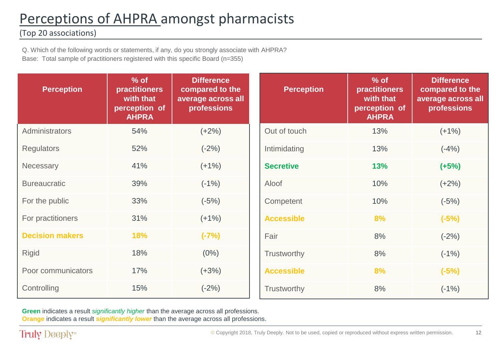### Perceptions of AHPRA amongst pharmacists

#### (Top 20 associations)

Q. Which of the following words or statements, if any, do you strongly associate with AHPRA? Base: Total sample of practitioners registered with this specific Board (n=355)

| <b>Perception</b>      | $%$ of<br><b>practitioners</b><br>with that<br>perception of<br><b>AHPRA</b> | <b>Difference</b><br>compared to the<br>average across all<br>professions | <b>Perception</b> | $%$ of<br><b>practitioners</b><br>with that<br>perception of<br><b>AHPRA</b> | <b>Difference</b><br>compared to the<br>average across all<br>professions |
|------------------------|------------------------------------------------------------------------------|---------------------------------------------------------------------------|-------------------|------------------------------------------------------------------------------|---------------------------------------------------------------------------|
| Administrators         | 54%                                                                          | $(+2%)$                                                                   | Out of touch      | 13%                                                                          | $(+1%)$                                                                   |
| <b>Regulators</b>      | 52%                                                                          | $(-2%)$                                                                   | Intimidating      | 13%                                                                          | $(-4%)$                                                                   |
| Necessary              | 41%                                                                          | $(+1%)$                                                                   | <b>Secretive</b>  | 13%                                                                          | $(+5%)$                                                                   |
| <b>Bureaucratic</b>    | 39%                                                                          | $(-1%)$                                                                   | Aloof             | 10%                                                                          | $(+2%)$                                                                   |
| For the public         | 33%                                                                          | $(-5%)$                                                                   | Competent         | 10%                                                                          | $(-5%)$                                                                   |
| For practitioners      | 31%                                                                          | $(+1%)$                                                                   | <b>Accessible</b> | 8%                                                                           | $(-5%)$                                                                   |
| <b>Decision makers</b> | 18%                                                                          | $(-7%)$                                                                   | Fair              | 8%                                                                           | $(-2%)$                                                                   |
| <b>Rigid</b>           | 18%                                                                          | $(0\%)$                                                                   | Trustworthy       | 8%                                                                           | $(-1%)$                                                                   |
| Poor communicators     | 17%                                                                          | $(+3%)$                                                                   | <b>Accessible</b> | 8%                                                                           | $(-5%)$                                                                   |
| Controlling            | 15%                                                                          | $(-2%)$                                                                   | Trustworthy       | 8%                                                                           | $(-1%)$                                                                   |

**Green** indicates a result *significantly higher* than the average across all professions. **Orange** indicates a result *significantly lower* than the average across all professions.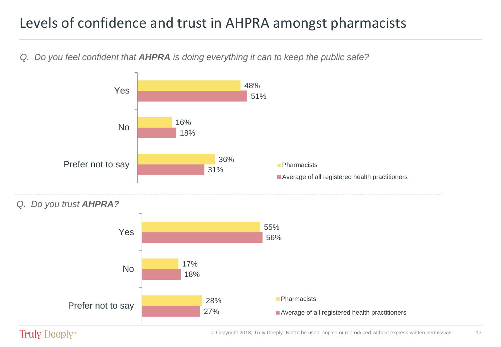### Levels of confidence and trust in AHPRA amongst pharmacists

*Q. Do you feel confident that AHPRA is doing everything it can to keep the public safe?*



#### Truly Deeply<sup>®</sup>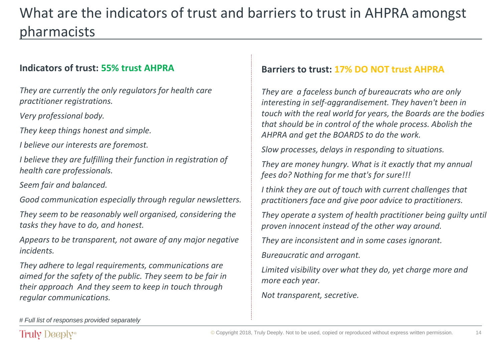### What are the indicators of trust and barriers to trust in AHPRA amongst pharmacists

#### **Indicators of trust: 55% trust AHPRA**

*They are currently the only regulators for health care practitioner registrations.*

*Very professional body.*

*They keep things honest and simple.*

*I believe our interests are foremost.*

*I believe they are fulfilling their function in registration of health care professionals.*

*Seem fair and balanced.*

*Good communication especially through regular newsletters.*

*They seem to be reasonably well organised, considering the tasks they have to do, and honest.*

*Appears to be transparent, not aware of any major negative incidents.*

*They adhere to legal requirements, communications are aimed for the safety of the public. They seem to be fair in their approach And they seem to keep in touch through regular communications.*

#### **Barriers to trust: 17% DO NOT trust AHPRA**

*They are a faceless bunch of bureaucrats who are only interesting in self-aggrandisement. They haven't been in touch with the real world for years, the Boards are the bodies that should be in control of the whole process. Abolish the AHPRA and get the BOARDS to do the work.*

*Slow processes, delays in responding to situations.*

*They are money hungry. What is it exactly that my annual fees do? Nothing for me that's for sure!!!*

*I think they are out of touch with current challenges that practitioners face and give poor advice to practitioners.*

*They operate a system of health practitioner being guilty until proven innocent instead of the other way around.*

*They are inconsistent and in some cases ignorant.*

*Bureaucratic and arrogant.*

*Limited visibility over what they do, yet charge more and more each year.*

14

*Not transparent, secretive.*

*# Full list of responses provided separately*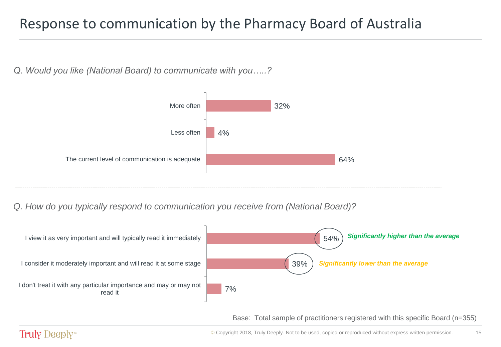### Response to communication by the Pharmacy Board of Australia

*Q. Would you like (National Board) to communicate with you…..?*



*Q. How do you typically respond to communication you receive from (National Board)?* 



Base: Total sample of practitioners registered with this specific Board (n=355)

15

#### Truly Deeply<sup>®</sup>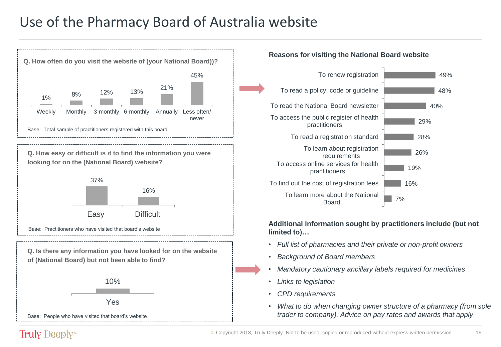### Use of the Pharmacy Board of Australia website



#### Truly Deeply<sup>®</sup>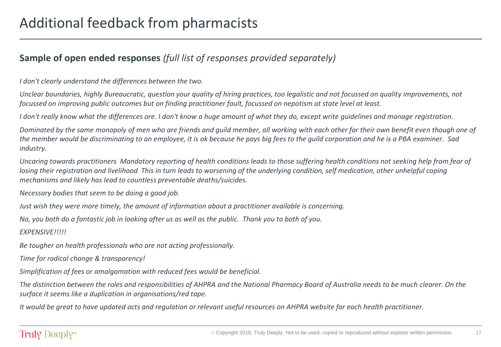#### **Sample of open ended responses** *(full list of responses provided separately)*

*I don't clearly understand the differences between the two.*

*Unclear boundaries, highly Bureaucratic, question your quality of hiring practices, too legalistic and not focussed on quality improvements, not focussed on improving public outcomes but on finding practitioner fault, focussed on nepotism at state level at least.*

*I don't really know what the differences are. I don't know a huge amount of what they do, except write guidelines and manage registration.*

*Dominated by the same monopoly of men who are friends and guild member, all working with each other for their own benefit even though one of the member would be discriminating to an employee, it is ok because he pays big fees to the guild corporation and he is a PBA examiner. Sad industry.*

*Uncaring towards practitioners Mandatory reporting of health conditions leads to those suffering health conditions not seeking help from fear of*  losing their registration and livelihood This in turn leads to worsening of the underlying condition, self medication, other *unhelpful coping mechanisms and likely has lead to countless preventable deaths/suicides.*

*Necessary bodies that seem to be doing a good job.*

*Just wish they were more timely, the amount of information about a practitioner available is concerning.*

*No, you both do a fantastic job in looking after us as well as the public. Thank you to both of you.*

*EXPENSIVE!!!!!*

*Be tougher on health professionals who are not acting professionally.*

*Time for radical change & transparency!*

*Simplification of fees or amalgamation with reduced fees would be beneficial.*

*The distinction between the roles and responsibilities of AHPRA and the National Pharmacy Board of Australia needs to be much clearer. On the surface it seems like a duplication in organisations/red tape.*

*It would be great to have updated acts and regulation or relevant useful resources on AHPRA website for each health practitioner.*